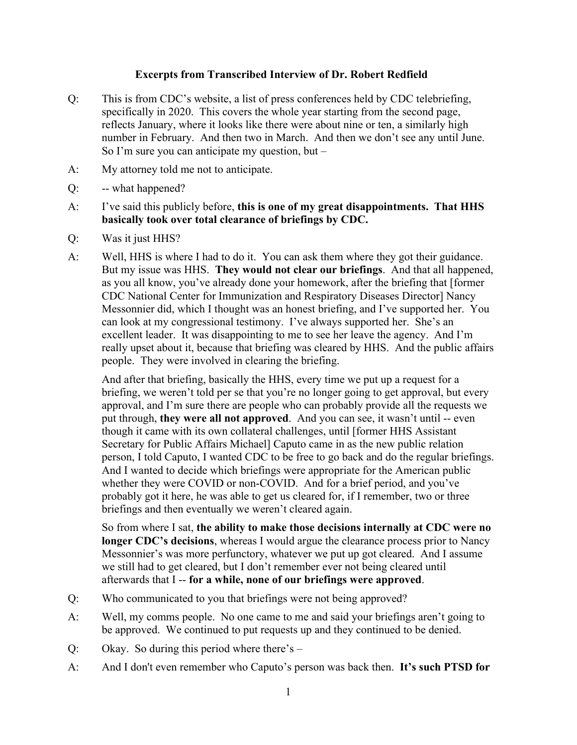## **Excerpts from Transcribed Interview of Dr. Robert Redfield**

- Q: This is from CDC's website, a list of press conferences held by CDC telebriefing, specifically in 2020. This covers the whole year starting from the second page, reflects January, where it looks like there were about nine or ten, a similarly high number in February. And then two in March. And then we don't see any until June. So I'm sure you can anticipate my question, but  $-$
- A: My attorney told me not to anticipate.
- Q: -- what happened?
- A: I've said this publicly before, **this is one of my great disappointments. That HHS basically took over total clearance of briefings by CDC.**
- Q: Was it just HHS?
- A: Well, HHS is where I had to do it. You can ask them where they got their guidance. But my issue was HHS. **They would not clear our briefings**. And that all happened, as you all know, you've already done your homework, after the briefing that [former CDC National Center for Immunization and Respiratory Diseases Director] Nancy Messonnier did, which I thought was an honest briefing, and I've supported her. You can look at my congressional testimony. I've always supported her. She's an excellent leader. It was disappointing to me to see her leave the agency. And I'm really upset about it, because that briefing was cleared by HHS. And the public affairs people. They were involved in clearing the briefing.

And after that briefing, basically the HHS, every time we put up a request for a briefing, we weren't told per se that you're no longer going to get approval, but every approval, and I'm sure there are people who can probably provide all the requests we put through, **they were all not approved**. And you can see, it wasn't until -- even though it came with its own collateral challenges, until [former HHS Assistant Secretary for Public Affairs Michael] Caputo came in as the new public relation person, I told Caputo, I wanted CDC to be free to go back and do the regular briefings. And I wanted to decide which briefings were appropriate for the American public whether they were COVID or non-COVID. And for a brief period, and you've probably got it here, he was able to get us cleared for, if I remember, two or three briefings and then eventually we weren't cleared again.

So from where I sat, **the ability to make those decisions internally at CDC were no longer CDC's decisions**, whereas I would argue the clearance process prior to Nancy Messonnier's was more perfunctory, whatever we put up got cleared. And I assume we still had to get cleared, but I don't remember ever not being cleared until afterwards that I -- **for a while, none of our briefings were approved**.

- Q: Who communicated to you that briefings were not being approved?
- A: Well, my comms people. No one came to me and said your briefings aren't going to be approved. We continued to put requests up and they continued to be denied.
- Q: Okay. So during this period where there's –
- A: And I don't even remember who Caputo's person was back then. **It's such PTSD for**